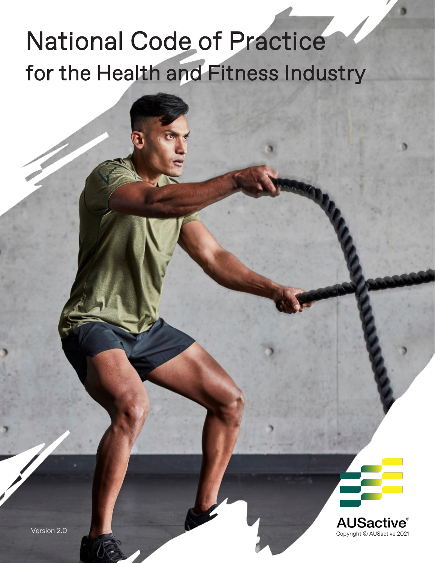# National Code of Practice for the Health and Fitness Industry



Version 2.0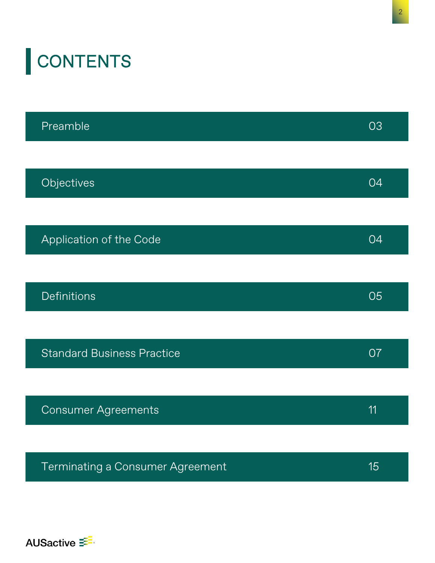| <b>CONTENTS</b>                   |    |
|-----------------------------------|----|
| Preamble                          | 03 |
| Objectives                        | 04 |
| Application of the Code           | 04 |
| <b>Definitions</b>                | 05 |
| <b>Standard Business Practice</b> | O7 |
|                                   |    |

| <b>Consumer Agreements</b> |  |
|----------------------------|--|
|----------------------------|--|

| Terminating a Consumer Agreement | 15 |
|----------------------------------|----|
|                                  |    |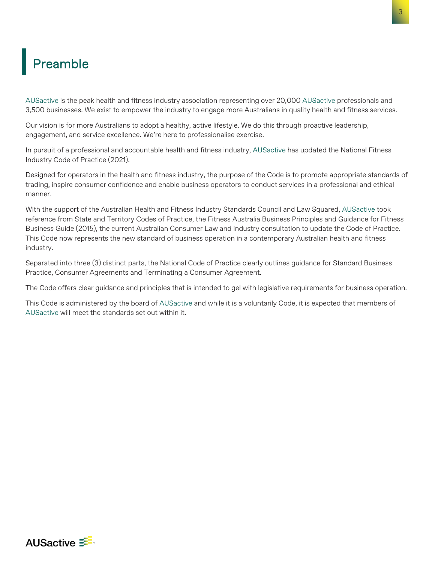### <span id="page-2-0"></span>Preamble

AUSactive is the peak health and fitness industry association representing over 20,000 AUSactive professionals and 3,500 businesses. We exist to empower the industry to engage more Australians in quality health and fitness services.

Our vision is for more Australians to adopt a healthy, active lifestyle. We do this through proactive leadership, engagement, and service excellence. We're here to professionalise exercise.

In pursuit of a professional and accountable health and fitness industry, AUSactive has updated the National Fitness Industry Code of Practice (2021).

Designed for operators in the health and fitness industry, the purpose of the Code is to promote appropriate standards of trading, inspire consumer confidence and enable business operators to conduct services in a professional and ethical manner.

With the support of the Australian Health and Fitness Industry Standards Council and Law Squared, AUSactive took reference from State and Territory Codes of Practice, the Fitness Australia Business Principles and Guidance for Fitness Business Guide (2015), the current Australian Consumer Law and industry consultation to update the Code of Practice. This Code now represents the new standard of business operation in a contemporary Australian health and fitness industry.

Separated into three (3) distinct parts, the National Code of Practice clearly outlines guidance for Standard Business Practice, Consumer Agreements and Terminating a Consumer Agreement.

The Code offers clear guidance and principles that is intended to gel with legislative requirements for business operation.

This Code is administered by the board of AUSactive and while it is a voluntarily Code, it is expected that members of AUSactive will meet the standards set out within it.

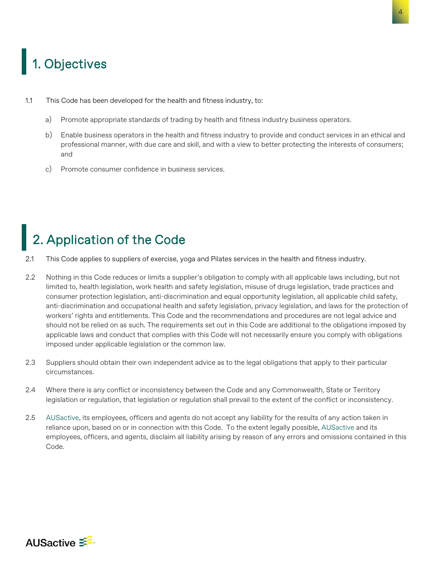## <span id="page-3-0"></span>1. Objectives

- 1.1 This Code has been developed for the health and fitness industry, to:
	- a) Promote appropriate standards of trading by health and fitness industry business operators.
	- b) Enable business operators in the health and fitness industry to provide and conduct services in an ethical and professional manner, with due care and skill, and with a view to better protecting the interests of consumers; and
	- c) Promote consumer confidence in business services.

## 2. Application of the Code

- 2.1 This Code applies to suppliers of exercise, yoga and Pilates services in the health and fitness industry.
- 2.2 Nothing in this Code reduces or limits a supplier's obligation to comply with all applicable laws including, but not limited to, health legislation, work health and safety legislation, misuse of drugs legislation, trade practices and consumer protection legislation, anti-discrimination and equal opportunity legislation, all applicable child safety, anti-discrimination and occupational health and safety legislation, privacy legislation, and laws for the protection of workers' rights and entitlements. This Code and the recommendations and procedures are not legal advice and should not be relied on as such. The requirements set out in this Code are additional to the obligations imposed by applicable laws and conduct that complies with this Code will not necessarily ensure you comply with obligations imposed under applicable legislation or the common law.
- 2.3 Suppliers should obtain their own independent advice as to the legal obligations that apply to their particular circumstances.
- 2.4 Where there is any conflict or inconsistency between the Code and any Commonwealth, State or Territory legislation or regulation, that legislation or regulation shall prevail to the extent of the conflict or inconsistency.
- 2.5 AUSactive, its employees, officers and agents do not accept any liability for the results of any action taken in reliance upon, based on or in connection with this Code. To the extent legally possible, AUSactive and its employees, officers, and agents, disclaim all liability arising by reason of any errors and omissions contained in this Code.

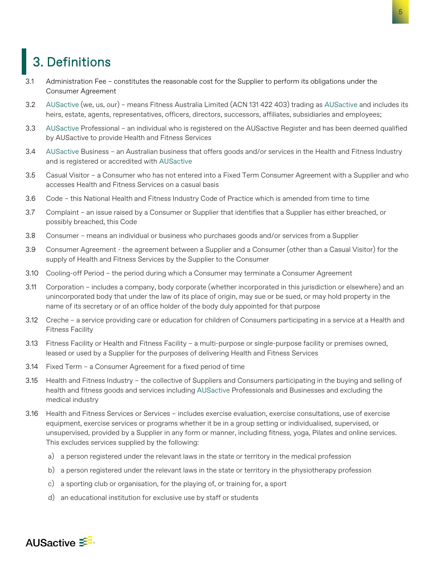### <span id="page-4-0"></span>3. Definitions

- 3.1 Administration Fee constitutes the reasonable cost for the Supplier to perform its obligations under the Consumer Agreement
- 3.2 AUSactive (we, us, our) means Fitness Australia Limited (ACN 131 422 403) trading as AUSactive and includes its heirs, estate, agents, representatives, officers, directors, successors, affiliates, subsidiaries and employees;
- 3.3 AUSactive Professional an individual who is registered on the AUSactive Register and has been deemed qualified by AUSactive to provide Health and Fitness Services
- 3.4 AUSactive Business an Australian business that offers goods and/or services in the Health and Fitness Industry and is registered or accredited with AUSactive
- 3.5 Casual Visitor a Consumer who has not entered into a Fixed Term Consumer Agreement with a Supplier and who accesses Health and Fitness Services on a casual basis
- 3.6 Code this National Health and Fitness Industry Code of Practice which is amended from time to time
- 3.7 Complaint an issue raised by a Consumer or Supplier that identifies that a Supplier has either breached, or possibly breached, this Code
- 3.8 Consumer means an individual or business who purchases goods and/or services from a Supplier
- 3.9 Consumer Agreement the agreement between a Supplier and a Consumer (other than a Casual Visitor) for the supply of Health and Fitness Services by the Supplier to the Consumer
- 3.10 Cooling-off Period the period during which a Consumer may terminate a Consumer Agreement
- 3.11 Corporation includes a company, body corporate (whether incorporated in this jurisdiction or elsewhere) and an unincorporated body that under the law of its place of origin, may sue or be sued, or may hold property in the name of its secretary or of an office holder of the body duly appointed for that purpose
- 3.12 Creche a service providing care or education for children of Consumers participating in a service at a Health and Fitness Facility
- 3.13 Fitness Facility or Health and Fitness Facility a multi-purpose or single-purpose facility or premises owned, leased or used by a Supplier for the purposes of delivering Health and Fitness Services
- 3.14 Fixed Term a Consumer Agreement for a fixed period of time
- 3.15 Health and Fitness Industry the collective of Suppliers and Consumers participating in the buying and selling of health and fitness goods and services including AUSactive Professionals and Businesses and excluding the medical industry
- 3.16 Health and Fitness Services or Services includes exercise evaluation, exercise consultations, use of exercise equipment, exercise services or programs whether it be in a group setting or individualised, supervised, or unsupervised, provided by a Supplier in any form or manner, including fitness, yoga, Pilates and online services. This excludes services supplied by the following:
	- a) a person registered under the relevant laws in the state or territory in the medical profession
	- b) a person registered under the relevant laws in the state or territory in the physiotherapy profession
	- c) a sporting club or organisation, for the playing of, or training for, a sport
	- d) an educational institution for exclusive use by staff or students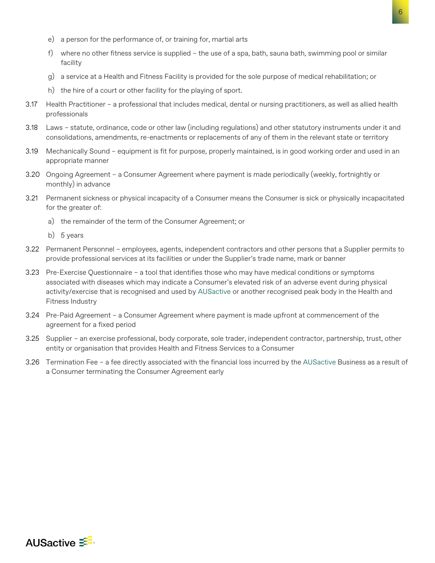- e) a person for the performance of, or training for, martial arts
- f) where no other fitness service is supplied the use of a spa, bath, sauna bath, swimming pool or similar facility
- g) a service at a Health and Fitness Facility is provided for the sole purpose of medical rehabilitation; or
- h) the hire of a court or other facility for the playing of sport.
- 3.17 Health Practitioner a professional that includes medical, dental or nursing practitioners, as well as allied health professionals
- 3.18 Laws statute, ordinance, code or other law (including regulations) and other statutory instruments under it and consolidations, amendments, re-enactments or replacements of any of them in the relevant state or territory
- 3.19 Mechanically Sound equipment is fit for purpose, properly maintained, is in good working order and used in an appropriate manner
- 3.20 Ongoing Agreement a Consumer Agreement where payment is made periodically (weekly, fortnightly or monthly) in advance
- 3.21 Permanent sickness or physical incapacity of a Consumer means the Consumer is sick or physically incapacitated for the greater of:
	- a) the remainder of the term of the Consumer Agreement; or
	- b) 5 years
- 3.22 Permanent Personnel employees, agents, independent contractors and other persons that a Supplier permits to provide professional services at its facilities or under the Supplier's trade name, mark or banner
- 3.23 Pre-Exercise Questionnaire a tool that identifies those who may have medical conditions or symptoms associated with diseases which may indicate a Consumer's elevated risk of an adverse event during physical activity/exercise that is recognised and used by AUSactive or another recognised peak body in the Health and Fitness Industry
- 3.24 Pre-Paid Agreement a Consumer Agreement where payment is made upfront at commencement of the agreement for a fixed period
- 3.25 Supplier an exercise professional, body corporate, sole trader, independent contractor, partnership, trust, other entity or organisation that provides Health and Fitness Services to a Consumer
- 3.26 Termination Fee a fee directly associated with the financial loss incurred by the AUSactive Business as a result of a Consumer terminating the Consumer Agreement early

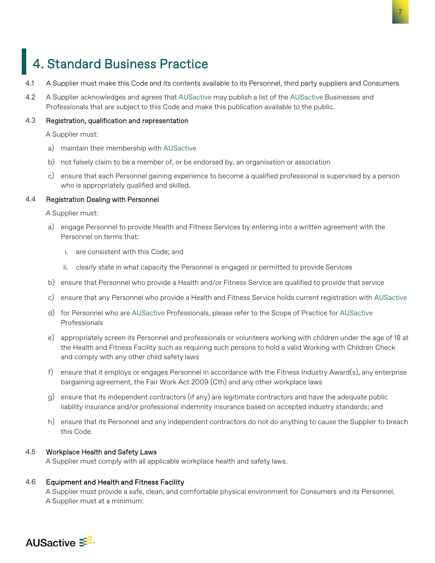### <span id="page-6-0"></span>4. Standard Business Practice

- 4.1 A Supplier must make this Code and its contents available to its Personnel, third party suppliers and Consumers
- 4.2 A Supplier acknowledges and agrees that AUSactive may publish a list of the AUSactive Businesses and Professionals that are subject to this Code and make this publication available to the public.

#### 4.3 Registration, qualification and representation

A Supplier must:

- a) maintain their membership with AUSactive
- b) not falsely claim to be a member of, or be endorsed by, an organisation or association
- c) ensure that each Personnel gaining experience to become a qualified professional is supervised by a person who is appropriately qualified and skilled.

#### 4.4 Registration Dealing with Personnel

A Supplier must:

- a) engage Personnel to provide Health and Fitness Services by entering into a written agreement with the Personnel on terms that:
	- i. are consistent with this Code; and
	- ii. clearly state in what capacity the Personnel is engaged or permitted to provide Services
- b) ensure that Personnel who provide a Health and/or Fitness Service are qualified to provide that service
- c) ensure that any Personnel who provide a Health and Fitness Service holds current registration with AUSactive
- d) for Personnel who are AUSactive Professionals, please refer to the Scope of Practice for AUSactive Professionals
- e) appropriately screen its Personnel and professionals or volunteers working with children under the age of 18 at the Health and Fitness Facility such as requiring such persons to hold a valid Working with Children Check and comply with any other child safety laws
- f) ensure that it employs or engages Personnel in accordance with the Fitness Industry Award(s), any enterprise bargaining agreement, the Fair Work Act 2009 (Cth) and any other workplace laws
- g) ensure that its independent contractors (if any) are legitimate contractors and have the adequate public liability insurance and/or professional indemnity insurance based on accepted industry standards; and
- h) ensure that its Personnel and any independent contractors do not do anything to cause the Supplier to breach this Code.

#### 4.5 Workplace Health and Safety Laws

A Supplier must comply with all applicable workplace health and safety laws.

#### 4.6 Equipment and Health and Fitness Facility

A Supplier must provide a safe, clean, and comfortable physical environment for Consumers and its Personnel. A Supplier must at a minimum:

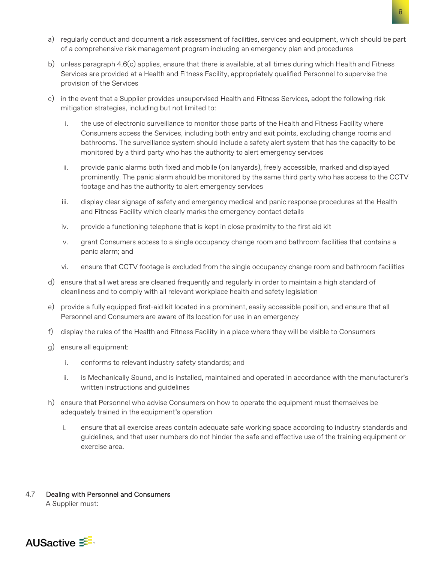- a) regularly conduct and document a risk assessment of facilities, services and equipment, which should be part of a comprehensive risk management program including an emergency plan and procedures
- b) unless paragraph 4.6(c) applies, ensure that there is available, at all times during which Health and Fitness Services are provided at a Health and Fitness Facility, appropriately qualified Personnel to supervise the provision of the Services
- c) in the event that a Supplier provides unsupervised Health and Fitness Services, adopt the following risk mitigation strategies, including but not limited to:
	- i. the use of electronic surveillance to monitor those parts of the Health and Fitness Facility where Consumers access the Services, including both entry and exit points, excluding change rooms and bathrooms. The surveillance system should include a safety alert system that has the capacity to be monitored by a third party who has the authority to alert emergency services
	- ii. provide panic alarms both fixed and mobile (on lanyards), freely accessible, marked and displayed prominently. The panic alarm should be monitored by the same third party who has access to the CCTV footage and has the authority to alert emergency services
	- iii. display clear signage of safety and emergency medical and panic response procedures at the Health and Fitness Facility which clearly marks the emergency contact details
	- iv. provide a functioning telephone that is kept in close proximity to the first aid kit
	- v. grant Consumers access to a single occupancy change room and bathroom facilities that contains a panic alarm; and
	- vi. ensure that CCTV footage is excluded from the single occupancy change room and bathroom facilities
- d) ensure that all wet areas are cleaned frequently and regularly in order to maintain a high standard of cleanliness and to comply with all relevant workplace health and safety legislation
- e) provide a fully equipped first-aid kit located in a prominent, easily accessible position, and ensure that all Personnel and Consumers are aware of its location for use in an emergency
- f) display the rules of the Health and Fitness Facility in a place where they will be visible to Consumers
- g) ensure all equipment:
	- i. conforms to relevant industry safety standards; and
	- ii. is Mechanically Sound, and is installed, maintained and operated in accordance with the manufacturer's written instructions and guidelines
- h) ensure that Personnel who advise Consumers on how to operate the equipment must themselves be adequately trained in the equipment's operation
	- i. ensure that all exercise areas contain adequate safe working space according to industry standards and guidelines, and that user numbers do not hinder the safe and effective use of the training equipment or exercise area.

4.7 Dealing with Personnel and Consumers A Supplier must:

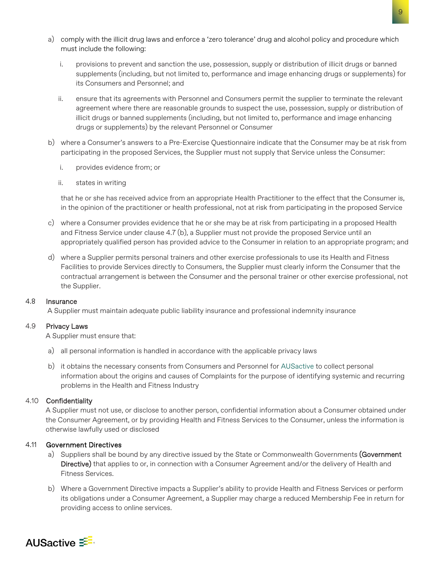- a) comply with the illicit drug laws and enforce a 'zero tolerance' drug and alcohol policy and procedure which must include the following:
	- i. provisions to prevent and sanction the use, possession, supply or distribution of illicit drugs or banned supplements (including, but not limited to, performance and image enhancing drugs or supplements) for its Consumers and Personnel; and
	- ii. ensure that its agreements with Personnel and Consumers permit the supplier to terminate the relevant agreement where there are reasonable grounds to suspect the use, possession, supply or distribution of illicit drugs or banned supplements (including, but not limited to, performance and image enhancing drugs or supplements) by the relevant Personnel or Consumer
- b) where a Consumer's answers to a Pre-Exercise Questionnaire indicate that the Consumer may be at risk from participating in the proposed Services, the Supplier must not supply that Service unless the Consumer:
	- i. provides evidence from; or
	- ii. states in writing

that he or she has received advice from an appropriate Health Practitioner to the effect that the Consumer is, in the opinion of the practitioner or health professional, not at risk from participating in the proposed Service

- c) where a Consumer provides evidence that he or she may be at risk from participating in a proposed Health and Fitness Service under clause 4.7 (b), a Supplier must not provide the proposed Service until an appropriately qualified person has provided advice to the Consumer in relation to an appropriate program; and
- d) where a Supplier permits personal trainers and other exercise professionals to use its Health and Fitness Facilities to provide Services directly to Consumers, the Supplier must clearly inform the Consumer that the contractual arrangement is between the Consumer and the personal trainer or other exercise professional, not the Supplier.

#### 4.8 Insurance

A Supplier must maintain adequate public liability insurance and professional indemnity insurance

#### 4.9 Privacy Laws

A Supplier must ensure that:

- a) all personal information is handled in accordance with the applicable privacy laws
- b) it obtains the necessary consents from Consumers and Personnel for AUSactive to collect personal information about the origins and causes of Complaints for the purpose of identifying systemic and recurring problems in the Health and Fitness Industry

#### 4.10 Confidentiality

A Supplier must not use, or disclose to another person, confidential information about a Consumer obtained under the Consumer Agreement, or by providing Health and Fitness Services to the Consumer, unless the information is otherwise lawfully used or disclosed

#### 4.11 Government Directives

- a) Suppliers shall be bound by any directive issued by the State or Commonwealth Governments (Government Directive) that applies to or, in connection with a Consumer Agreement and/or the delivery of Health and Fitness Services.
- b) Where a Government Directive impacts a Supplier's ability to provide Health and Fitness Services or perform its obligations under a Consumer Agreement, a Supplier may charge a reduced Membership Fee in return for providing access to online services.

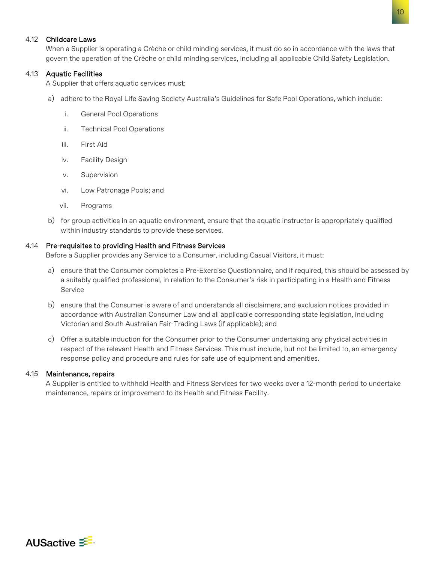#### 4.12 Childcare Laws

When a Supplier is operating a Crèche or child minding services, it must do so in accordance with the laws that govern the operation of the Crèche or child minding services, including all applicable Child Safety Legislation.

#### 4.13 Aquatic Facilities

A Supplier that offers aquatic services must:

- a) adhere to the Royal Life Saving Society Australia's Guidelines for Safe Pool Operations, which include:
	- i. General Pool Operations
	- ii. Technical Pool Operations
	- iii. First Aid
	- iv. Facility Design
	- v. Supervision
	- vi. Low Patronage Pools; and
	- vii. Programs
- b) for group activities in an aquatic environment, ensure that the aquatic instructor is appropriately qualified within industry standards to provide these services.

#### 4.14 Pre-requisites to providing Health and Fitness Services

Before a Supplier provides any Service to a Consumer, including Casual Visitors, it must:

- a) ensure that the Consumer completes a Pre-Exercise Questionnaire, and if required, this should be assessed by a suitably qualified professional, in relation to the Consumer's risk in participating in a Health and Fitness Service
- b) ensure that the Consumer is aware of and understands all disclaimers, and exclusion notices provided in accordance with Australian Consumer Law and all applicable corresponding state legislation, including Victorian and South Australian Fair-Trading Laws (if applicable); and
- c) Offer a suitable induction for the Consumer prior to the Consumer undertaking any physical activities in respect of the relevant Health and Fitness Services. This must include, but not be limited to, an emergency response policy and procedure and rules for safe use of equipment and amenities.

#### 4.15 Maintenance, repairs

A Supplier is entitled to withhold Health and Fitness Services for two weeks over a 12-month period to undertake maintenance, repairs or improvement to its Health and Fitness Facility.

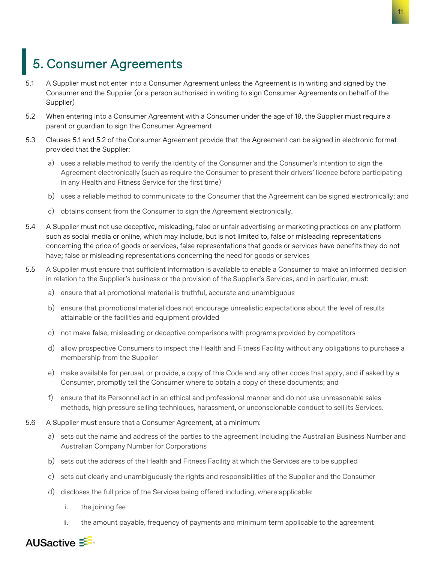### <span id="page-10-0"></span>5. Consumer Agreements

- 5.1 A Supplier must not enter into a Consumer Agreement unless the Agreement is in writing and signed by the Consumer and the Supplier (or a person authorised in writing to sign Consumer Agreements on behalf of the Supplier)
- 5.2 When entering into a Consumer Agreement with a Consumer under the age of 18, the Supplier must require a parent or guardian to sign the Consumer Agreement
- 5.3 Clauses 5.1 and 5.2 of the Consumer Agreement provide that the Agreement can be signed in electronic format provided that the Supplier:
	- a) uses a reliable method to verify the identity of the Consumer and the Consumer's intention to sign the Agreement electronically (such as require the Consumer to present their drivers' licence before participating in any Health and Fitness Service for the first time)
	- b) uses a reliable method to communicate to the Consumer that the Agreement can be signed electronically; and
	- c) obtains consent from the Consumer to sign the Agreement electronically.
- 5.4 A Supplier must not use deceptive, misleading, false or unfair advertising or marketing practices on any platform such as social media or online, which may include, but is not limited to, false or misleading representations concerning the price of goods or services, false representations that goods or services have benefits they do not have; false or misleading representations concerning the need for goods or services
- 5.5 A Supplier must ensure that sufficient information is available to enable a Consumer to make an informed decision in relation to the Supplier's business or the provision of the Supplier's Services, and in particular, must:
	- a) ensure that all promotional material is truthful, accurate and unambiguous
	- b) ensure that promotional material does not encourage unrealistic expectations about the level of results attainable or the facilities and equipment provided
	- c) not make false, misleading or deceptive comparisons with programs provided by competitors
	- d) allow prospective Consumers to inspect the Health and Fitness Facility without any obligations to purchase a membership from the Supplier
	- e) make available for perusal, or provide, a copy of this Code and any other codes that apply, and if asked by a Consumer, promptly tell the Consumer where to obtain a copy of these documents; and
	- f) ensure that its Personnel act in an ethical and professional manner and do not use unreasonable sales methods, high pressure selling techniques, harassment, or unconscionable conduct to sell its Services.
- 5.6 A Supplier must ensure that a Consumer Agreement, at a minimum:
	- a) sets out the name and address of the parties to the agreement including the Australian Business Number and Australian Company Number for Corporations
	- b) sets out the address of the Health and Fitness Facility at which the Services are to be supplied
	- c) sets out clearly and unambiguously the rights and responsibilities of the Supplier and the Consumer
	- d) discloses the full price of the Services being offered including, where applicable:
		- i. the joining fee
		- ii. the amount payable, frequency of payments and minimum term applicable to the agreement

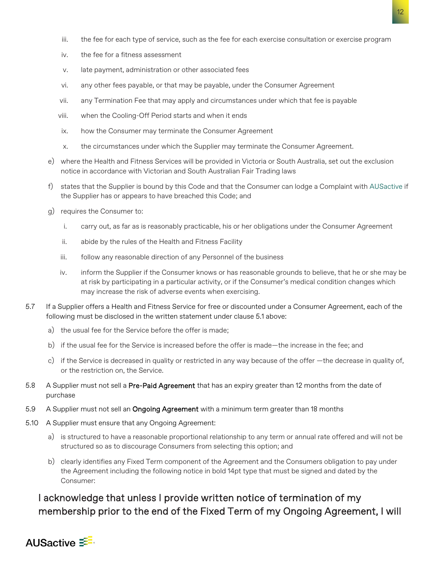- iii. the fee for each type of service, such as the fee for each exercise consultation or exercise program
- iv. the fee for a fitness assessment
- v. late payment, administration or other associated fees
- vi. any other fees payable, or that may be payable, under the Consumer Agreement
- vii. any Termination Fee that may apply and circumstances under which that fee is payable
- viii. when the Cooling-Off Period starts and when it ends
- ix. how the Consumer may terminate the Consumer Agreement
- x. the circumstances under which the Supplier may terminate the Consumer Agreement.
- e) where the Health and Fitness Services will be provided in Victoria or South Australia, set out the exclusion notice in accordance with Victorian and South Australian Fair Trading laws
- f) states that the Supplier is bound by this Code and that the Consumer can lodge a Complaint with AUSactive if the Supplier has or appears to have breached this Code; and
- g) requires the Consumer to:
	- i. carry out, as far as is reasonably practicable, his or her obligations under the Consumer Agreement
	- ii. abide by the rules of the Health and Fitness Facility
	- iii. follow any reasonable direction of any Personnel of the business
	- iv. inform the Supplier if the Consumer knows or has reasonable grounds to believe, that he or she may be at risk by participating in a particular activity, or if the Consumer's medical condition changes which may increase the risk of adverse events when exercising.
- 5.7 If a Supplier offers a Health and Fitness Service for free or discounted under a Consumer Agreement, each of the following must be disclosed in the written statement under clause 5.1 above:
	- a) the usual fee for the Service before the offer is made;
	- b) if the usual fee for the Service is increased before the offer is made—the increase in the fee; and
	- c) if the Service is decreased in quality or restricted in any way because of the offer —the decrease in quality of, or the restriction on, the Service.
- 5.8 A Supplier must not sell a Pre-Paid Agreement that has an expiry greater than 12 months from the date of purchase
- 5.9 A Supplier must not sell an **Ongoing Agreement** with a minimum term greater than 18 months
- 5.10 A Supplier must ensure that any Ongoing Agreement:
	- a) is structured to have a reasonable proportional relationship to any term or annual rate offered and will not be structured so as to discourage Consumers from selecting this option; and
	- b) clearly identifies any Fixed Term component of the Agreement and the Consumers obligation to pay under the Agreement including the following notice in bold 14pt type that must be signed and dated by the Consumer:

### I acknowledge that unless I provide written notice of termination of my membership prior to the end of the Fixed Term of my Ongoing Agreement, I will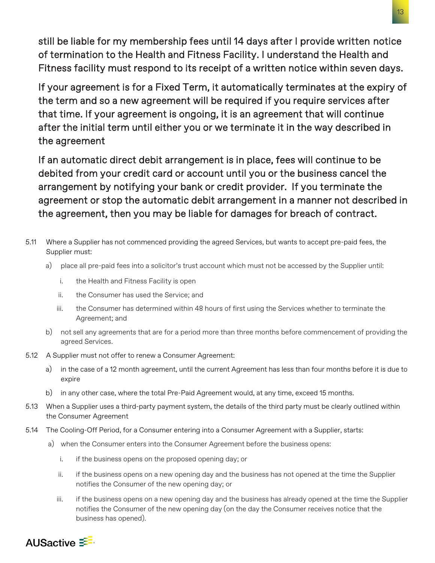still be liable for my membership fees until 14 days after I provide written notice of termination to the Health and Fitness Facility. I understand the Health and Fitness facility must respond to its receipt of a written notice within seven days.

If your agreement is for a Fixed Term, it automatically terminates at the expiry of the term and so a new agreement will be required if you require services after that time. If your agreement is ongoing, it is an agreement that will continue after the initial term until either you or we terminate it in the way described in the agreement

If an automatic direct debit arrangement is in place, fees will continue to be debited from your credit card or account until you or the business cancel the arrangement by notifying your bank or credit provider. If you terminate the agreement or stop the automatic debit arrangement in a manner not described in the agreement, then you may be liable for damages for breach of contract.

- 5.11 Where a Supplier has not commenced providing the agreed Services, but wants to accept pre-paid fees, the Supplier must:
	- a) place all pre-paid fees into a solicitor's trust account which must not be accessed by the Supplier until:
		- i. the Health and Fitness Facility is open
		- ii. the Consumer has used the Service; and
		- iii. the Consumer has determined within 48 hours of first using the Services whether to terminate the Agreement; and
	- b) not sell any agreements that are for a period more than three months before commencement of providing the agreed Services.
- 5.12 A Supplier must not offer to renew a Consumer Agreement:
	- a) in the case of a 12 month agreement, until the current Agreement has less than four months before it is due to expire
	- b) in any other case, where the total Pre-Paid Agreement would, at any time, exceed 15 months.
- 5.13 When a Supplier uses a third-party payment system, the details of the third party must be clearly outlined within the Consumer Agreement
- 5.14 The Cooling-Off Period, for a Consumer entering into a Consumer Agreement with a Supplier, starts:
	- a) when the Consumer enters into the Consumer Agreement before the business opens:
		- i. if the business opens on the proposed opening day; or
		- ii. if the business opens on a new opening day and the business has not opened at the time the Supplier notifies the Consumer of the new opening day; or
		- iii. if the business opens on a new opening day and the business has already opened at the time the Supplier notifies the Consumer of the new opening day (on the day the Consumer receives notice that the business has opened).

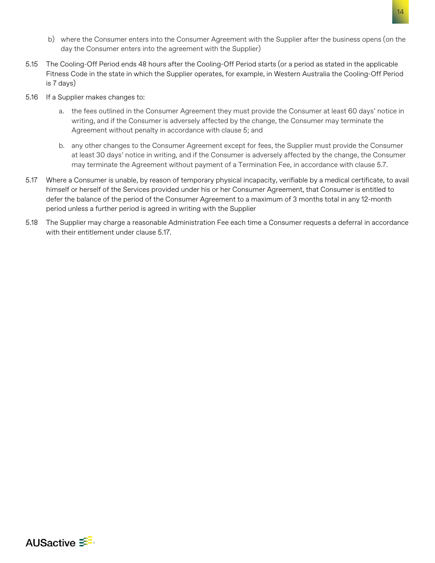- b) where the Consumer enters into the Consumer Agreement with the Supplier after the business opens (on the day the Consumer enters into the agreement with the Supplier)
- 5.15 The Cooling-Off Period ends 48 hours after the Cooling-Off Period starts (or a period as stated in the applicable Fitness Code in the state in which the Supplier operates, for example, in Western Australia the Cooling-Off Period is 7 days)
- 5.16 If a Supplier makes changes to:
	- a. the fees outlined in the Consumer Agreement they must provide the Consumer at least 60 days' notice in writing, and if the Consumer is adversely affected by the change, the Consumer may terminate the Agreement without penalty in accordance with clause 5; and
	- b. any other changes to the Consumer Agreement except for fees, the Supplier must provide the Consumer at least 30 days' notice in writing, and if the Consumer is adversely affected by the change, the Consumer may terminate the Agreement without payment of a Termination Fee, in accordance with clause 5.7.
- 5.17 Where a Consumer is unable, by reason of temporary physical incapacity, verifiable by a medical certificate, to avail himself or herself of the Services provided under his or her Consumer Agreement, that Consumer is entitled to defer the balance of the period of the Consumer Agreement to a maximum of 3 months total in any 12-month period unless a further period is agreed in writing with the Supplier
- 5.18 The Supplier may charge a reasonable Administration Fee each time a Consumer requests a deferral in accordance with their entitlement under clause 5.17.

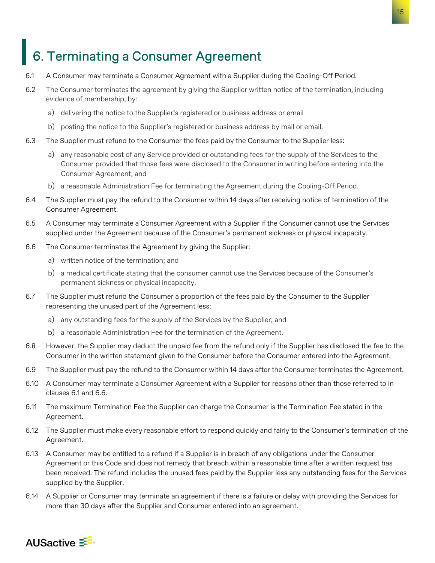### <span id="page-14-0"></span>6. Terminating a Consumer Agreement

- 6.1 A Consumer may terminate a Consumer Agreement with a Supplier during the Cooling-Off Period.
- 6.2 The Consumer terminates the agreement by giving the Supplier written notice of the termination, including evidence of membership, by:
	- a) delivering the notice to the Supplier's registered or business address or email
	- b) posting the notice to the Supplier's registered or business address by mail or email.
- 6.3 The Supplier must refund to the Consumer the fees paid by the Consumer to the Supplier less:
	- a) any reasonable cost of any Service provided or outstanding fees for the supply of the Services to the Consumer provided that those fees were disclosed to the Consumer in writing before entering into the Consumer Agreement; and
	- b) a reasonable Administration Fee for terminating the Agreement during the Cooling-Off Period.
- 6.4 The Supplier must pay the refund to the Consumer within 14 days after receiving notice of termination of the Consumer Agreement.
- 6.5 A Consumer may terminate a Consumer Agreement with a Supplier if the Consumer cannot use the Services supplied under the Agreement because of the Consumer's permanent sickness or physical incapacity.
- 6.6 The Consumer terminates the Agreement by giving the Supplier:
	- a) written notice of the termination; and
	- b) a medical certificate stating that the consumer cannot use the Services because of the Consumer's permanent sickness or physical incapacity.
- 6.7 The Supplier must refund the Consumer a proportion of the fees paid by the Consumer to the Supplier representing the unused part of the Agreement less:
	- a) any outstanding fees for the supply of the Services by the Supplier; and
	- b) a reasonable Administration Fee for the termination of the Agreement.
- 6.8 However, the Supplier may deduct the unpaid fee from the refund only if the Supplier has disclosed the fee to the Consumer in the written statement given to the Consumer before the Consumer entered into the Agreement.
- 6.9 The Supplier must pay the refund to the Consumer within 14 days after the Consumer terminates the Agreement.
- 6.10 A Consumer may terminate a Consumer Agreement with a Supplier for reasons other than those referred to in clauses 6.1 and 6.6.
- 6.11 The maximum Termination Fee the Supplier can charge the Consumer is the Termination Fee stated in the Agreement.
- 6.12 The Supplier must make every reasonable effort to respond quickly and fairly to the Consumer's termination of the Agreement.
- 6.13 A Consumer may be entitled to a refund if a Supplier is in breach of any obligations under the Consumer Agreement or this Code and does not remedy that breach within a reasonable time after a written request has been received. The refund includes the unused fees paid by the Supplier less any outstanding fees for the Services supplied by the Supplier.
- 6.14 A Supplier or Consumer may terminate an agreement if there is a failure or delay with providing the Services for more than 30 days after the Supplier and Consumer entered into an agreement.